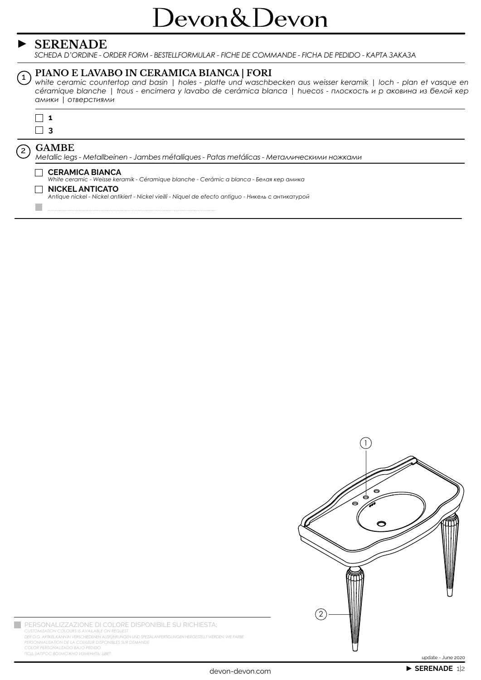## **SERENADE**

SCHEDA D'ORDINE - ORDER FORM - BESTELLFORMULAR - FICHE DE COMMANDE - FICHA DE PEDIDO - KAPTA 3AKA3A

## PIANO E LAVABO IN CERAMICA BIANCA | FORI

 $\widehat{1}$ white ceramic countertop and basin | holes - platte und waschbecken aus weisser keramik | loch - plan et vasque en céramique blanche | trous - encimera y lavabo de cerámica blanca | huecos - плоскость и р аковина из белой кер амики | отверстиями



 $\mathcal{C}^{\mathcal{A}}$ 

 $\mathbf{C}$ 

### **GAMBE**

Metallic legs - Metallbeinen - Jambes métalliques - Patas metálicas - Металлическими ножками

#### CERAMICA BIANCA

White ceramic - Weisse keramik - Céramique blanche - Cerámic a blanca - Белая кер амика

#### $\Box$  NICKEL ANTICATO

Antique nickel - Nickel antikiert - Nickel vieilli - Níquel de efecto antiguo - Никель с антикатурой



PERSONALIZZAZIONE DI COLORE DISPONIBILE SU RICHIESTA; CUSTOMIZATION COLOURS IS AVAILABLE ON REQUEST<br>DER O.G. ARTIKEL KANN IN VERSCHIEDENEN AUSFÜHRUNGEN UND SPEZIALANFERTIGUNGEN HERGESTELLT WERDEN: WIE FARBE<br>PERSONNALISATION DE LA COULEUR DISPONIBLES SUR DEMANDE COLOR PERSONALIZADO BAJO PEDIDO ПОД ЗАПРОС ВОЗМОЖНО ИЗМЕНИТЬ: ЦВЕТ